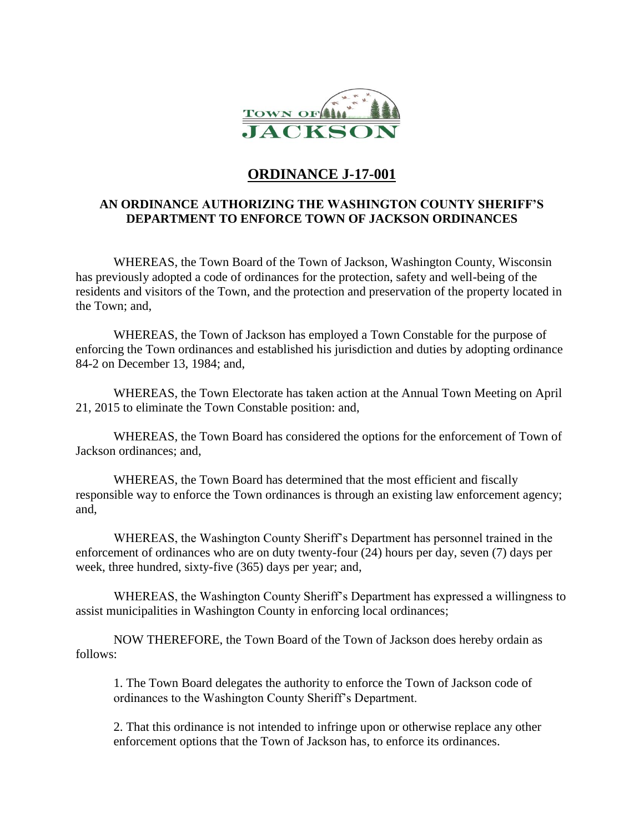

## **ORDINANCE J-17-001**

## **AN ORDINANCE AUTHORIZING THE WASHINGTON COUNTY SHERIFF'S DEPARTMENT TO ENFORCE TOWN OF JACKSON ORDINANCES**

WHEREAS, the Town Board of the Town of Jackson, Washington County, Wisconsin has previously adopted a code of ordinances for the protection, safety and well-being of the residents and visitors of the Town, and the protection and preservation of the property located in the Town; and,

WHEREAS, the Town of Jackson has employed a Town Constable for the purpose of enforcing the Town ordinances and established his jurisdiction and duties by adopting ordinance 84-2 on December 13, 1984; and,

WHEREAS, the Town Electorate has taken action at the Annual Town Meeting on April 21, 2015 to eliminate the Town Constable position: and,

WHEREAS, the Town Board has considered the options for the enforcement of Town of Jackson ordinances; and,

WHEREAS, the Town Board has determined that the most efficient and fiscally responsible way to enforce the Town ordinances is through an existing law enforcement agency; and,

WHEREAS, the Washington County Sheriff's Department has personnel trained in the enforcement of ordinances who are on duty twenty-four (24) hours per day, seven (7) days per week, three hundred, sixty-five (365) days per year; and,

WHEREAS, the Washington County Sheriff's Department has expressed a willingness to assist municipalities in Washington County in enforcing local ordinances;

NOW THEREFORE, the Town Board of the Town of Jackson does hereby ordain as follows:

1. The Town Board delegates the authority to enforce the Town of Jackson code of ordinances to the Washington County Sheriff's Department.

2. That this ordinance is not intended to infringe upon or otherwise replace any other enforcement options that the Town of Jackson has, to enforce its ordinances.